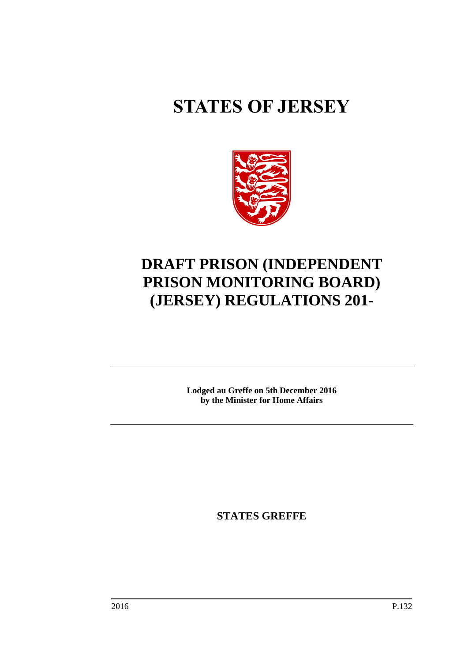# **STATES OF JERSEY**



## **DRAFT PRISON (INDEPENDENT PRISON MONITORING BOARD) (JERSEY) REGULATIONS 201-**

**Lodged au Greffe on 5th December 2016 by the Minister for Home Affairs**

**STATES GREFFE**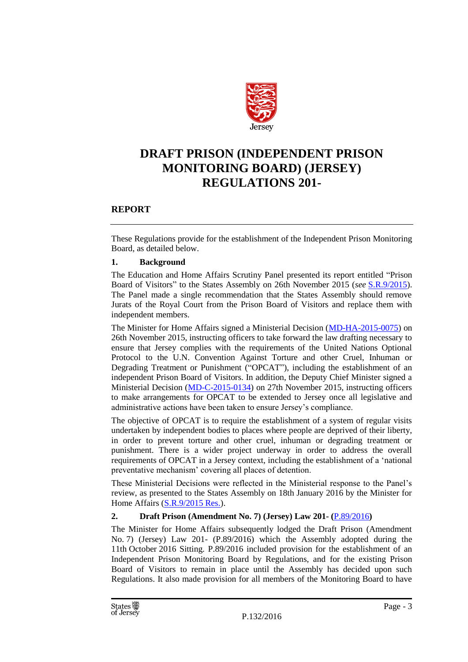

### **DRAFT PRISON (INDEPENDENT PRISON MONITORING BOARD) (JERSEY) REGULATIONS 201-**

#### **REPORT**

These Regulations provide for the establishment of the Independent Prison Monitoring Board, as detailed below.

#### **1. Background**

The Education and Home Affairs Scrutiny Panel presented its report entitled "Prison Board of Visitors" to the States Assembly on 26th November 2015 (*see* [S.R.9/2015\)](http://www.statesassembly.gov.je/ScrutinyReports/2015/Report%20-%20Prison%20Board%20of%20Visitors%20-%2026%20November%202015.pdf#search=S.R.9/2015). The Panel made a single recommendation that the States Assembly should remove Jurats of the Royal Court from the Prison Board of Visitors and replace them with independent members.

The Minister for Home Affairs signed a Ministerial Decision [\(MD-HA-2015-0075\)](http://www.gov.je/government/planningperformance/pages/ministerialdecisions.aspx?docid=38CAF103-70C5-472F-ACB2-7ED5C47191CD) on 26th November 2015, instructing officers to take forward the law drafting necessary to ensure that Jersey complies with the requirements of the United Nations Optional Protocol to the U.N. Convention Against Torture and other Cruel, Inhuman or Degrading Treatment or Punishment ("OPCAT"), including the establishment of an independent Prison Board of Visitors. In addition, the Deputy Chief Minister signed a Ministerial Decision [\(MD-C-2015-0134\)](http://www.gov.je/government/planningperformance/pages/ministerialdecisions.aspx?docid=6A8F5DA8-1780-4DF6-A9A5-C909A5106C58) on 27th November 2015, instructing officers to make arrangements for OPCAT to be extended to Jersey once all legislative and administrative actions have been taken to ensure Jersey's compliance.

The objective of OPCAT is to require the establishment of a system of regular visits undertaken by independent bodies to places where people are deprived of their liberty, in order to prevent torture and other cruel, inhuman or degrading treatment or punishment. There is a wider project underway in order to address the overall requirements of OPCAT in a Jersey context, including the establishment of a 'national preventative mechanism' covering all places of detention.

These Ministerial Decisions were reflected in the Ministerial response to the Panel's review, as presented to the States Assembly on 18th January 2016 by the Minister for Home Affairs [\(S.R.9/2015](http://www.statesassembly.gov.je/ScrutinyReports/2016/Ministerial%20Response%20-%20Prison%20Board%20of%20Visitors%20-%2018%20January%202016.pdf#search=S.R.9/2015) Res.).

#### **2. Draft Prison (Amendment No. 7) (Jersey) Law 201- (**[P.89/2016](http://www.statesassembly.gov.je/AssemblyPropositions/2016/P.89-2016.pdf)**)**

The Minister for Home Affairs subsequently lodged the Draft Prison (Amendment No. 7) (Jersey) Law 201- (P.89/2016) which the Assembly adopted during the 11th October 2016 Sitting. P.89/2016 included provision for the establishment of an Independent Prison Monitoring Board by Regulations, and for the existing Prison Board of Visitors to remain in place until the Assembly has decided upon such Regulations. It also made provision for all members of the Monitoring Board to have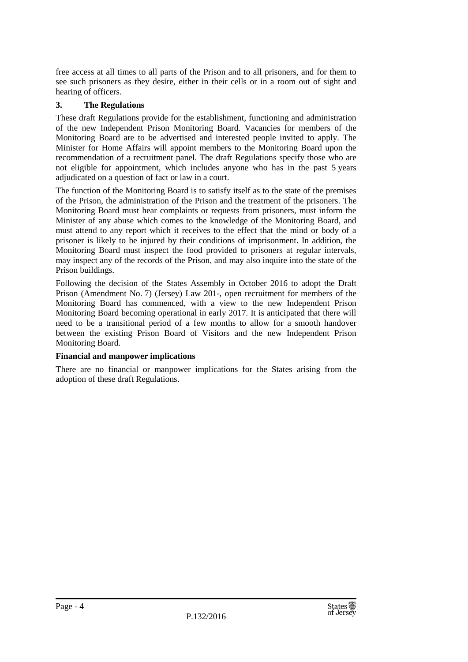free access at all times to all parts of the Prison and to all prisoners, and for them to see such prisoners as they desire, either in their cells or in a room out of sight and hearing of officers.

#### **3. The Regulations**

These draft Regulations provide for the establishment, functioning and administration of the new Independent Prison Monitoring Board. Vacancies for members of the Monitoring Board are to be advertised and interested people invited to apply. The Minister for Home Affairs will appoint members to the Monitoring Board upon the recommendation of a recruitment panel. The draft Regulations specify those who are not eligible for appointment, which includes anyone who has in the past 5 years adjudicated on a question of fact or law in a court.

The function of the Monitoring Board is to satisfy itself as to the state of the premises of the Prison, the administration of the Prison and the treatment of the prisoners. The Monitoring Board must hear complaints or requests from prisoners, must inform the Minister of any abuse which comes to the knowledge of the Monitoring Board, and must attend to any report which it receives to the effect that the mind or body of a prisoner is likely to be injured by their conditions of imprisonment. In addition, the Monitoring Board must inspect the food provided to prisoners at regular intervals, may inspect any of the records of the Prison, and may also inquire into the state of the Prison buildings.

Following the decision of the States Assembly in October 2016 to adopt the Draft Prison (Amendment No. 7) (Jersey) Law 201-, open recruitment for members of the Monitoring Board has commenced, with a view to the new Independent Prison Monitoring Board becoming operational in early 2017. It is anticipated that there will need to be a transitional period of a few months to allow for a smooth handover between the existing Prison Board of Visitors and the new Independent Prison Monitoring Board.

#### **Financial and manpower implications**

There are no financial or manpower implications for the States arising from the adoption of these draft Regulations.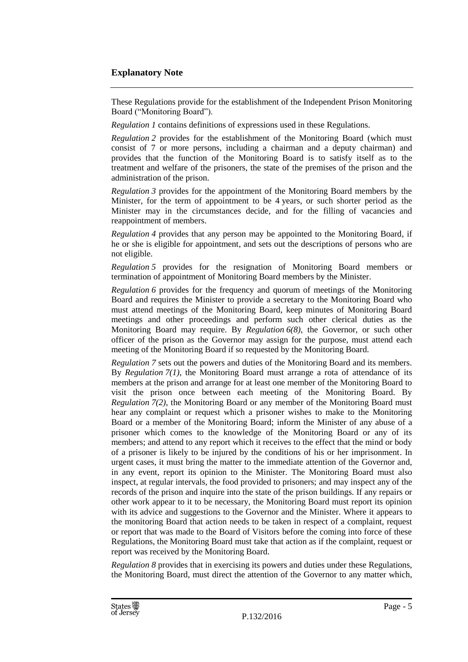#### **Explanatory Note**

These Regulations provide for the establishment of the Independent Prison Monitoring Board ("Monitoring Board").

*Regulation 1* contains definitions of expressions used in these Regulations.

*Regulation 2* provides for the establishment of the Monitoring Board (which must consist of 7 or more persons, including a chairman and a deputy chairman) and provides that the function of the Monitoring Board is to satisfy itself as to the treatment and welfare of the prisoners, the state of the premises of the prison and the administration of the prison.

*Regulation 3* provides for the appointment of the Monitoring Board members by the Minister, for the term of appointment to be 4 years, or such shorter period as the Minister may in the circumstances decide, and for the filling of vacancies and reappointment of members.

*Regulation 4* provides that any person may be appointed to the Monitoring Board, if he or she is eligible for appointment, and sets out the descriptions of persons who are not eligible.

*Regulation 5* provides for the resignation of Monitoring Board members or termination of appointment of Monitoring Board members by the Minister.

*Regulation 6* provides for the frequency and quorum of meetings of the Monitoring Board and requires the Minister to provide a secretary to the Monitoring Board who must attend meetings of the Monitoring Board, keep minutes of Monitoring Board meetings and other proceedings and perform such other clerical duties as the Monitoring Board may require. By *Regulation 6(8),* the Governor, or such other officer of the prison as the Governor may assign for the purpose, must attend each meeting of the Monitoring Board if so requested by the Monitoring Board.

*Regulation 7* sets out the powers and duties of the Monitoring Board and its members. By *Regulation 7(1)*, the Monitoring Board must arrange a rota of attendance of its members at the prison and arrange for at least one member of the Monitoring Board to visit the prison once between each meeting of the Monitoring Board. By *Regulation 7(2)*, the Monitoring Board or any member of the Monitoring Board must hear any complaint or request which a prisoner wishes to make to the Monitoring Board or a member of the Monitoring Board; inform the Minister of any abuse of a prisoner which comes to the knowledge of the Monitoring Board or any of its members; and attend to any report which it receives to the effect that the mind or body of a prisoner is likely to be injured by the conditions of his or her imprisonment. In urgent cases, it must bring the matter to the immediate attention of the Governor and, in any event, report its opinion to the Minister. The Monitoring Board must also inspect, at regular intervals, the food provided to prisoners; and may inspect any of the records of the prison and inquire into the state of the prison buildings. If any repairs or other work appear to it to be necessary, the Monitoring Board must report its opinion with its advice and suggestions to the Governor and the Minister. Where it appears to the monitoring Board that action needs to be taken in respect of a complaint, request or report that was made to the Board of Visitors before the coming into force of these Regulations, the Monitoring Board must take that action as if the complaint, request or report was received by the Monitoring Board.

*Regulation 8* provides that in exercising its powers and duties under these Regulations, the Monitoring Board, must direct the attention of the Governor to any matter which,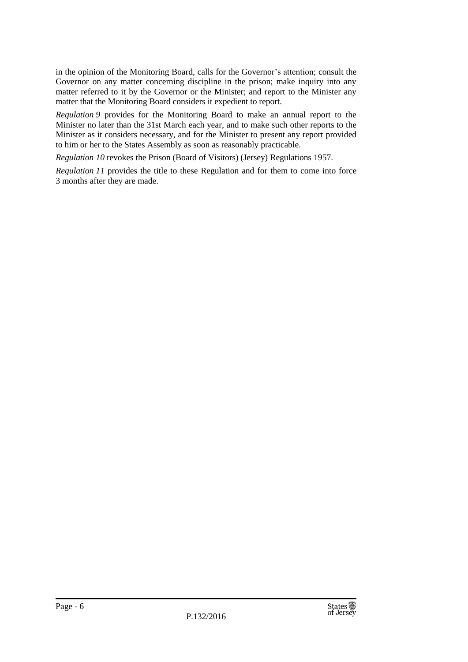in the opinion of the Monitoring Board, calls for the Governor's attention; consult the Governor on any matter concerning discipline in the prison; make inquiry into any matter referred to it by the Governor or the Minister; and report to the Minister any matter that the Monitoring Board considers it expedient to report.

*Regulation 9* provides for the Monitoring Board to make an annual report to the Minister no later than the 31st March each year, and to make such other reports to the Minister as it considers necessary, and for the Minister to present any report provided to him or her to the States Assembly as soon as reasonably practicable.

*Regulation 10* revokes the Prison (Board of Visitors) (Jersey) Regulations 1957.

*Regulation 11* provides the title to these Regulation and for them to come into force 3 months after they are made.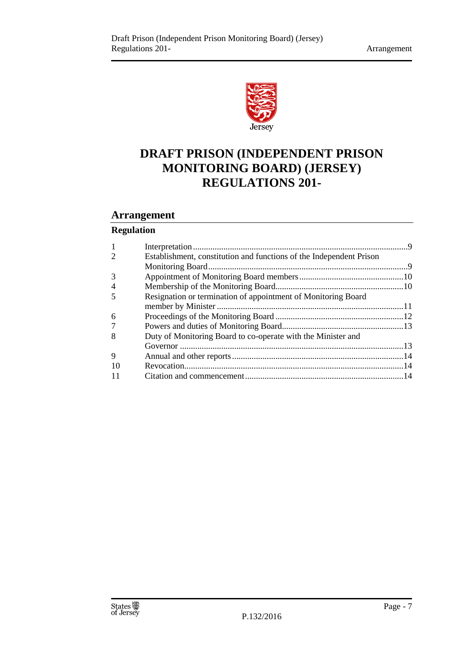

## **DRAFT PRISON (INDEPENDENT PRISON MONITORING BOARD) (JERSEY) REGULATIONS 201-**

#### **Arrangement**

#### **Regulation**

| $\mathbf{1}$   |                                                                     |  |
|----------------|---------------------------------------------------------------------|--|
| $\overline{2}$ | Establishment, constitution and functions of the Independent Prison |  |
|                |                                                                     |  |
| 3              |                                                                     |  |
| 4              |                                                                     |  |
| 5              | Resignation or termination of appointment of Monitoring Board       |  |
|                |                                                                     |  |
| 6              |                                                                     |  |
| 7              |                                                                     |  |
| 8              | Duty of Monitoring Board to co-operate with the Minister and        |  |
|                |                                                                     |  |
| 9              |                                                                     |  |
| 10             |                                                                     |  |
| 11             |                                                                     |  |
|                |                                                                     |  |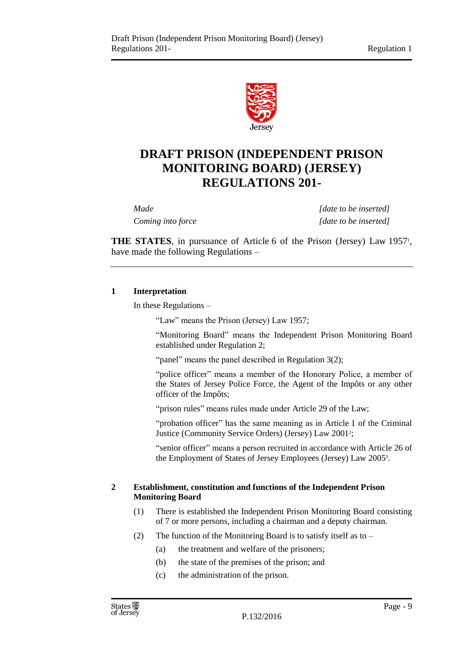

## **DRAFT PRISON (INDEPENDENT PRISON MONITORING BOARD) (JERSEY) REGULATIONS 201-**

*Made [date to be inserted] Coming into force [date to be inserted]*

**THE STATES**, in pursuance of Article 6 of the Prison (Jersey) Law 1957<sup>1</sup>, have made the following Regulations –

#### <span id="page-8-0"></span>**1 Interpretation**

In these Regulations –

"Law" means the Prison (Jersey) Law 1957;

"Monitoring Board" means the Independent Prison Monitoring Board established under Regulation 2;

"panel" means the panel described in Regulation 3(2);

"police officer" means a member of the Honorary Police, a member of the States of Jersey Police Force, the Agent of the Impôts or any other officer of the Impôts;

"prison rules" means rules made under Article 29 of the Law;

"probation officer" has the same meaning as in Article 1 of the Criminal Justice (Community Service Orders) (Jersey) Law 2001<sup>2</sup> ;

"senior officer" means a person recruited in accordance with Article 26 of the Employment of States of Jersey Employees (Jersey) Law 2005<sup>3</sup> .

#### <span id="page-8-1"></span>**2 Establishment, constitution and functions of the Independent Prison Monitoring Board**

- (1) There is established the Independent Prison Monitoring Board consisting of 7 or more persons, including a chairman and a deputy chairman.
- (2) The function of the Monitoring Board is to satisfy itself as to
	- (a) the treatment and welfare of the prisoners;
	- (b) the state of the premises of the prison; and
	- (c) the administration of the prison.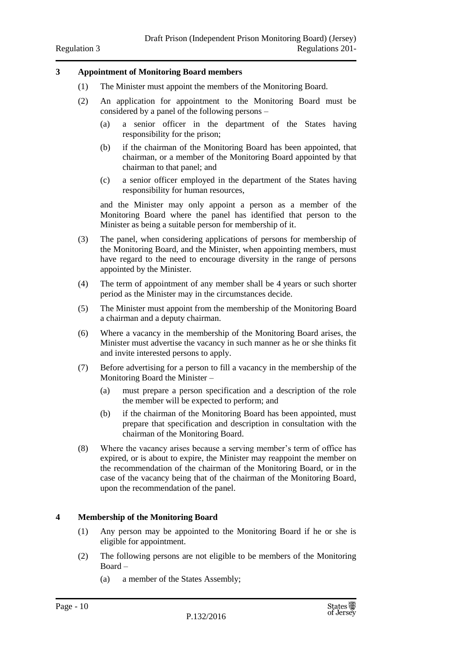#### <span id="page-9-0"></span>**3 Appointment of Monitoring Board members**

- (1) The Minister must appoint the members of the Monitoring Board.
- (2) An application for appointment to the Monitoring Board must be considered by a panel of the following persons –
	- (a) a senior officer in the department of the States having responsibility for the prison;
	- (b) if the chairman of the Monitoring Board has been appointed, that chairman, or a member of the Monitoring Board appointed by that chairman to that panel; and
	- (c) a senior officer employed in the department of the States having responsibility for human resources,

and the Minister may only appoint a person as a member of the Monitoring Board where the panel has identified that person to the Minister as being a suitable person for membership of it.

- (3) The panel, when considering applications of persons for membership of the Monitoring Board, and the Minister, when appointing members, must have regard to the need to encourage diversity in the range of persons appointed by the Minister.
- (4) The term of appointment of any member shall be 4 years or such shorter period as the Minister may in the circumstances decide.
- (5) The Minister must appoint from the membership of the Monitoring Board a chairman and a deputy chairman.
- (6) Where a vacancy in the membership of the Monitoring Board arises, the Minister must advertise the vacancy in such manner as he or she thinks fit and invite interested persons to apply.
- (7) Before advertising for a person to fill a vacancy in the membership of the Monitoring Board the Minister –
	- (a) must prepare a person specification and a description of the role the member will be expected to perform; and
	- (b) if the chairman of the Monitoring Board has been appointed, must prepare that specification and description in consultation with the chairman of the Monitoring Board.
- (8) Where the vacancy arises because a serving member's term of office has expired, or is about to expire, the Minister may reappoint the member on the recommendation of the chairman of the Monitoring Board, or in the case of the vacancy being that of the chairman of the Monitoring Board, upon the recommendation of the panel.

#### <span id="page-9-1"></span>**4 Membership of the Monitoring Board**

- (1) Any person may be appointed to the Monitoring Board if he or she is eligible for appointment.
- (2) The following persons are not eligible to be members of the Monitoring Board –
	- (a) a member of the States Assembly;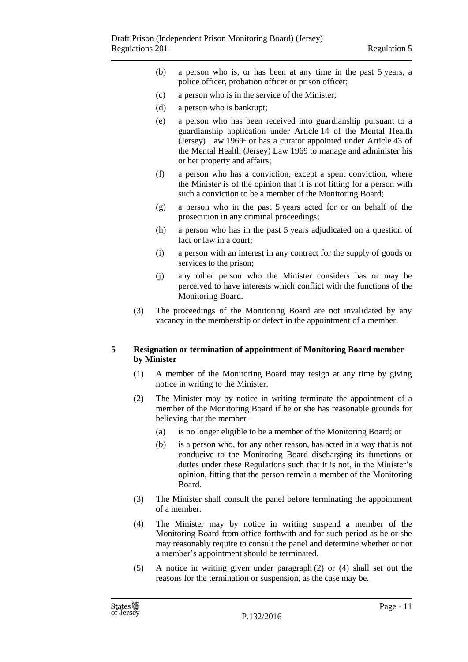- (b) a person who is, or has been at any time in the past 5 years, a police officer, probation officer or prison officer;
- (c) a person who is in the service of the Minister;
- (d) a person who is bankrupt;
- (e) a person who has been received into guardianship pursuant to a guardianship application under Article 14 of the Mental Health (Jersey) Law 1969<sup>4</sup> or has a curator appointed under Article 43 of the Mental Health (Jersey) Law 1969 to manage and administer his or her property and affairs;
- (f) a person who has a conviction, except a spent conviction, where the Minister is of the opinion that it is not fitting for a person with such a conviction to be a member of the Monitoring Board;
- (g) a person who in the past 5 years acted for or on behalf of the prosecution in any criminal proceedings;
- (h) a person who has in the past 5 years adjudicated on a question of fact or law in a court;
- (i) a person with an interest in any contract for the supply of goods or services to the prison;
- (j) any other person who the Minister considers has or may be perceived to have interests which conflict with the functions of the Monitoring Board.
- (3) The proceedings of the Monitoring Board are not invalidated by any vacancy in the membership or defect in the appointment of a member.

#### <span id="page-10-0"></span>**5 Resignation or termination of appointment of Monitoring Board member by Minister**

- (1) A member of the Monitoring Board may resign at any time by giving notice in writing to the Minister.
- (2) The Minister may by notice in writing terminate the appointment of a member of the Monitoring Board if he or she has reasonable grounds for believing that the member –
	- (a) is no longer eligible to be a member of the Monitoring Board; or
	- (b) is a person who, for any other reason, has acted in a way that is not conducive to the Monitoring Board discharging its functions or duties under these Regulations such that it is not, in the Minister's opinion, fitting that the person remain a member of the Monitoring Board.
- (3) The Minister shall consult the panel before terminating the appointment of a member.
- (4) The Minister may by notice in writing suspend a member of the Monitoring Board from office forthwith and for such period as he or she may reasonably require to consult the panel and determine whether or not a member's appointment should be terminated.
- (5) A notice in writing given under paragraph (2) or (4) shall set out the reasons for the termination or suspension, as the case may be.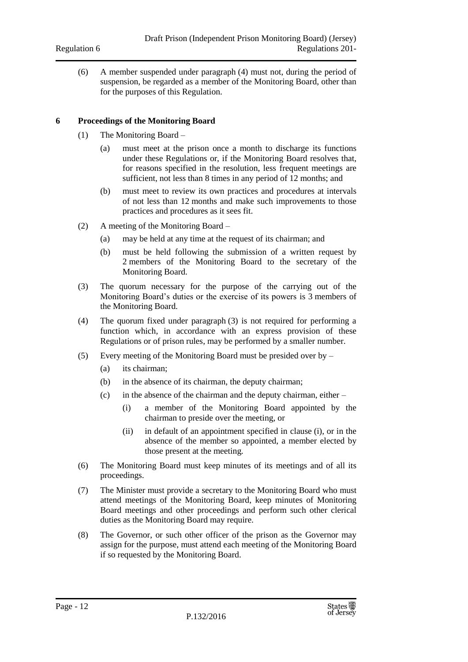(6) A member suspended under paragraph (4) must not, during the period of suspension, be regarded as a member of the Monitoring Board, other than for the purposes of this Regulation.

#### <span id="page-11-0"></span>**6 Proceedings of the Monitoring Board**

- (1) The Monitoring Board
	- (a) must meet at the prison once a month to discharge its functions under these Regulations or, if the Monitoring Board resolves that, for reasons specified in the resolution, less frequent meetings are sufficient, not less than 8 times in any period of 12 months; and
	- (b) must meet to review its own practices and procedures at intervals of not less than 12 months and make such improvements to those practices and procedures as it sees fit.
- (2) A meeting of the Monitoring Board
	- (a) may be held at any time at the request of its chairman; and
	- (b) must be held following the submission of a written request by 2 members of the Monitoring Board to the secretary of the Monitoring Board.
- (3) The quorum necessary for the purpose of the carrying out of the Monitoring Board's duties or the exercise of its powers is 3 members of the Monitoring Board.
- (4) The quorum fixed under paragraph (3) is not required for performing a function which, in accordance with an express provision of these Regulations or of prison rules, may be performed by a smaller number.
- (5) Every meeting of the Monitoring Board must be presided over by
	- (a) its chairman;
	- (b) in the absence of its chairman, the deputy chairman;
	- (c) in the absence of the chairman and the deputy chairman, either
		- (i) a member of the Monitoring Board appointed by the chairman to preside over the meeting, or
		- (ii) in default of an appointment specified in clause (i), or in the absence of the member so appointed, a member elected by those present at the meeting.
- (6) The Monitoring Board must keep minutes of its meetings and of all its proceedings.
- (7) The Minister must provide a secretary to the Monitoring Board who must attend meetings of the Monitoring Board, keep minutes of Monitoring Board meetings and other proceedings and perform such other clerical duties as the Monitoring Board may require.
- (8) The Governor, or such other officer of the prison as the Governor may assign for the purpose, must attend each meeting of the Monitoring Board if so requested by the Monitoring Board.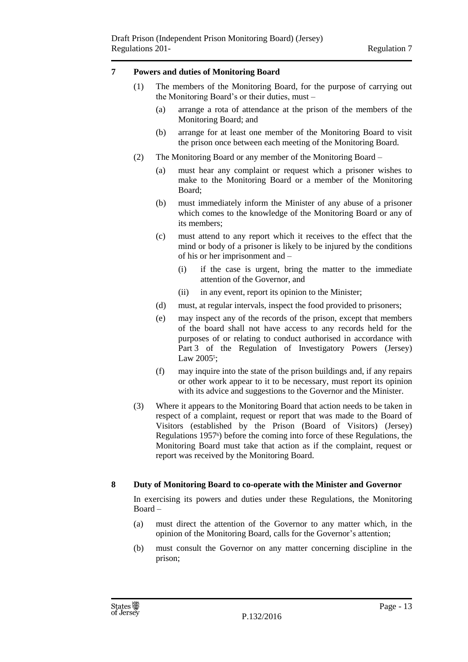#### <span id="page-12-0"></span>**7 Powers and duties of Monitoring Board**

- (1) The members of the Monitoring Board, for the purpose of carrying out the Monitoring Board's or their duties, must –
	- (a) arrange a rota of attendance at the prison of the members of the Monitoring Board; and
	- (b) arrange for at least one member of the Monitoring Board to visit the prison once between each meeting of the Monitoring Board.
- (2) The Monitoring Board or any member of the Monitoring Board
	- (a) must hear any complaint or request which a prisoner wishes to make to the Monitoring Board or a member of the Monitoring Board;
	- (b) must immediately inform the Minister of any abuse of a prisoner which comes to the knowledge of the Monitoring Board or any of its members;
	- (c) must attend to any report which it receives to the effect that the mind or body of a prisoner is likely to be injured by the conditions of his or her imprisonment and –
		- (i) if the case is urgent, bring the matter to the immediate attention of the Governor, and
		- (ii) in any event, report its opinion to the Minister;
	- (d) must, at regular intervals, inspect the food provided to prisoners;
	- (e) may inspect any of the records of the prison, except that members of the board shall not have access to any records held for the purposes of or relating to conduct authorised in accordance with Part 3 of the Regulation of Investigatory Powers (Jersey) Law 2005<sup>5</sup>;
	- (f) may inquire into the state of the prison buildings and, if any repairs or other work appear to it to be necessary, must report its opinion with its advice and suggestions to the Governor and the Minister.
- (3) Where it appears to the Monitoring Board that action needs to be taken in respect of a complaint, request or report that was made to the Board of Visitors (established by the Prison (Board of Visitors) (Jersey) Regulations 1957<sup>6</sup> ) before the coming into force of these Regulations, the Monitoring Board must take that action as if the complaint, request or report was received by the Monitoring Board.

#### <span id="page-12-1"></span>**8 Duty of Monitoring Board to co-operate with the Minister and Governor**

In exercising its powers and duties under these Regulations, the Monitoring Board –

- (a) must direct the attention of the Governor to any matter which, in the opinion of the Monitoring Board, calls for the Governor's attention;
- (b) must consult the Governor on any matter concerning discipline in the prison;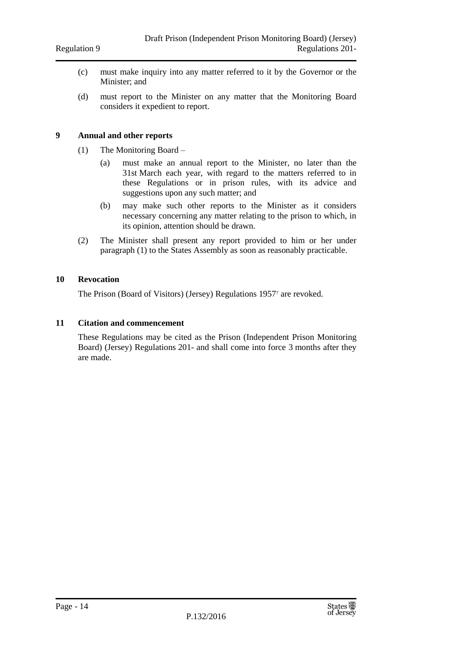- (c) must make inquiry into any matter referred to it by the Governor or the Minister; and
- (d) must report to the Minister on any matter that the Monitoring Board considers it expedient to report.

#### <span id="page-13-0"></span>**9 Annual and other reports**

- (1) The Monitoring Board
	- (a) must make an annual report to the Minister, no later than the 31st March each year, with regard to the matters referred to in these Regulations or in prison rules, with its advice and suggestions upon any such matter; and
	- (b) may make such other reports to the Minister as it considers necessary concerning any matter relating to the prison to which, in its opinion, attention should be drawn.
- (2) The Minister shall present any report provided to him or her under paragraph (1) to the States Assembly as soon as reasonably practicable.

#### <span id="page-13-1"></span>**10 Revocation**

The Prison (Board of Visitors) (Jersey) Regulations 1957<sup>7</sup> are revoked.

#### <span id="page-13-2"></span>**11 Citation and commencement**

These Regulations may be cited as the Prison (Independent Prison Monitoring Board) (Jersey) Regulations 201- and shall come into force 3 months after they are made.